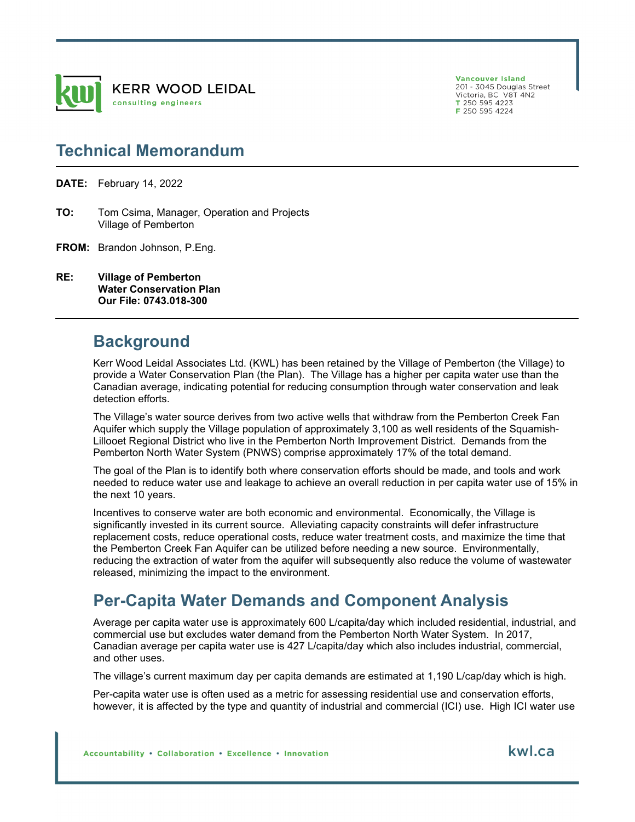

Vancouver Island 201 - 3045 Douglas Street Victoria, BC, V8T 4N2  $T$  250 595 4223

F 250 595 4224

### **Technical Memorandum**

**DATE:** February 14, 2022

- **TO:** Tom Csima, Manager, Operation and Projects Village of Pemberton
- **FROM:** Brandon Johnson, P.Eng.
- **RE: Village of Pemberton Water Conservation Plan Our File: 0743.018-300**

#### **Background**

Kerr Wood Leidal Associates Ltd. (KWL) has been retained by the Village of Pemberton (the Village) to provide a Water Conservation Plan (the Plan). The Village has a higher per capita water use than the Canadian average, indicating potential for reducing consumption through water conservation and leak detection efforts.

The Village's water source derives from two active wells that withdraw from the Pemberton Creek Fan Aquifer which supply the Village population of approximately 3,100 as well residents of the Squamish-Lillooet Regional District who live in the Pemberton North Improvement District. Demands from the Pemberton North Water System (PNWS) comprise approximately 17% of the total demand.

The goal of the Plan is to identify both where conservation efforts should be made, and tools and work needed to reduce water use and leakage to achieve an overall reduction in per capita water use of 15% in the next 10 years.

Incentives to conserve water are both economic and environmental. Economically, the Village is significantly invested in its current source. Alleviating capacity constraints will defer infrastructure replacement costs, reduce operational costs, reduce water treatment costs, and maximize the time that the Pemberton Creek Fan Aquifer can be utilized before needing a new source. Environmentally, reducing the extraction of water from the aquifer will subsequently also reduce the volume of wastewater released, minimizing the impact to the environment.

# **Per-Capita Water Demands and Component Analysis**

Average per capita water use is approximately 600 L/capita/day which included residential, industrial, and commercial use but excludes water demand from the Pemberton North Water System. In 2017, Canadian average per capita water use is 427 L/capita/day which also includes industrial, commercial, and other uses.

The village's current maximum day per capita demands are estimated at 1,190 L/cap/day which is high.

Per-capita water use is often used as a metric for assessing residential use and conservation efforts, however, it is affected by the type and quantity of industrial and commercial (ICI) use. High ICI water use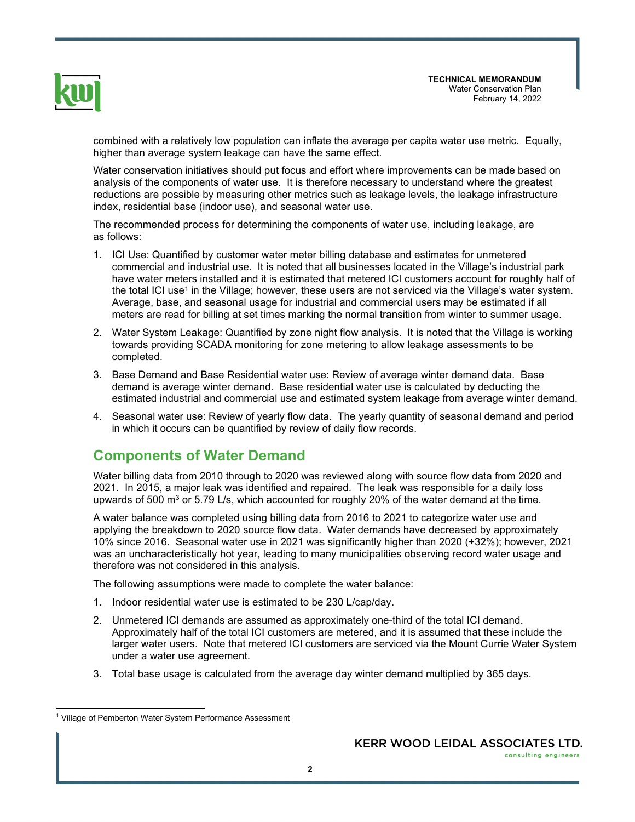

combined with a relatively low population can inflate the average per capita water use metric. Equally, higher than average system leakage can have the same effect.

Water conservation initiatives should put focus and effort where improvements can be made based on analysis of the components of water use. It is therefore necessary to understand where the greatest reductions are possible by measuring other metrics such as leakage levels, the leakage infrastructure index, residential base (indoor use), and seasonal water use.

The recommended process for determining the components of water use, including leakage, are as follows:

- 1. ICI Use: Quantified by customer water meter billing database and estimates for unmetered commercial and industrial use. It is noted that all businesses located in the Village's industrial park have water meters installed and it is estimated that metered ICI customers account for roughly half of the total ICI use<sup>1</sup> in the Village; however, these users are not serviced via the Village's water system. Average, base, and seasonal usage for industrial and commercial users may be estimated if all meters are read for billing at set times marking the normal transition from winter to summer usage.
- 2. Water System Leakage: Quantified by zone night flow analysis. It is noted that the Village is working towards providing SCADA monitoring for zone metering to allow leakage assessments to be completed.
- 3. Base Demand and Base Residential water use: Review of average winter demand data. Base demand is average winter demand. Base residential water use is calculated by deducting the estimated industrial and commercial use and estimated system leakage from average winter demand.
- 4. Seasonal water use: Review of yearly flow data. The yearly quantity of seasonal demand and period in which it occurs can be quantified by review of daily flow records.

#### **Components of Water Demand**

Water billing data from 2010 through to 2020 was reviewed along with source flow data from 2020 and 2021. In 2015, a major leak was identified and repaired. The leak was responsible for a daily loss upwards of 500 m $^3$  or 5.79 L/s, which accounted for roughly 20% of the water demand at the time.

A water balance was completed using billing data from 2016 to 2021 to categorize water use and applying the breakdown to 2020 source flow data. Water demands have decreased by approximately 10% since 2016. Seasonal water use in 2021 was significantly higher than 2020 (+32%); however, 2021 was an uncharacteristically hot year, leading to many municipalities observing record water usage and therefore was not considered in this analysis.

The following assumptions were made to complete the water balance:

- 1. Indoor residential water use is estimated to be 230 L/cap/day.
- 2. Unmetered ICI demands are assumed as approximately one-third of the total ICI demand. Approximately half of the total ICI customers are metered, and it is assumed that these include the larger water users. Note that metered ICI customers are serviced via the Mount Currie Water System under a water use agreement.
- 3. Total base usage is calculated from the average day winter demand multiplied by 365 days.

<sup>&</sup>lt;sup>1</sup> Village of Pemberton Water System Performance Assessment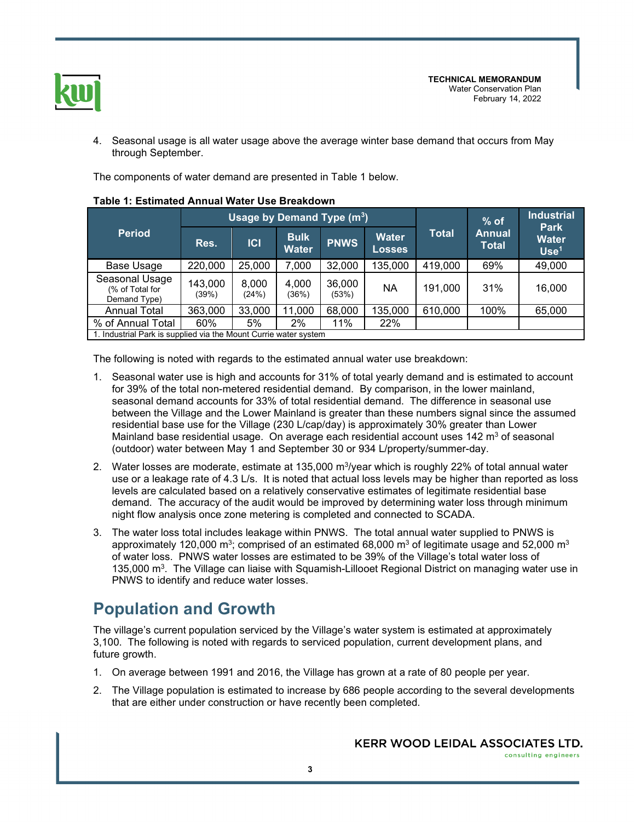

4. Seasonal usage is all water usage above the average winter base demand that occurs from May through September.

The components of water demand are presented in Table 1 below.

| <b>Period</b>                                                    |                  | Usage by Demand Type (m <sup>3</sup> ) |                             |                 | $%$ of                        | <b>Industrial</b><br><b>Park</b> |                               |                                  |  |
|------------------------------------------------------------------|------------------|----------------------------------------|-----------------------------|-----------------|-------------------------------|----------------------------------|-------------------------------|----------------------------------|--|
|                                                                  | Res.             | C                                      | <b>Bulk</b><br><b>Water</b> | <b>PNWS</b>     | <b>Water</b><br><b>Losses</b> | Total                            | <b>Annual</b><br><b>Total</b> | <b>Water</b><br>Use <sup>1</sup> |  |
| Base Usage                                                       | 220,000          | 25,000                                 | 7,000                       | 32,000          | 135,000                       | 419,000                          | 69%                           | 49,000                           |  |
| Seasonal Usage<br>(% of Total for<br>Demand Type)                | 143,000<br>(39%) | 8,000<br>(24%)                         | 4,000<br>(36%)              | 36,000<br>(53%) | <b>NA</b>                     | 191,000                          | 31%                           | 16,000                           |  |
| <b>Annual Total</b>                                              | 363,000          | 33,000                                 | 11,000                      | 68,000          | 135,000                       | 610,000                          | 100%                          | 65,000                           |  |
| % of Annual Total                                                | 60%              | 5%                                     | 2%                          | 11%             | 22%                           |                                  |                               |                                  |  |
| 1. Industrial Park is supplied via the Mount Currie water system |                  |                                        |                             |                 |                               |                                  |                               |                                  |  |

#### **Table 1: Estimated Annual Water Use Breakdown**

The following is noted with regards to the estimated annual water use breakdown:

- 1. Seasonal water use is high and accounts for 31% of total yearly demand and is estimated to account for 39% of the total non-metered residential demand. By comparison, in the lower mainland, seasonal demand accounts for 33% of total residential demand. The difference in seasonal use between the Village and the Lower Mainland is greater than these numbers signal since the assumed residential base use for the Village (230 L/cap/day) is approximately 30% greater than Lower Mainland base residential usage. On average each residential account uses 142  $\mathsf{m}^{3}$  of seasonal (outdoor) water between May 1 and September 30 or 934 L/property/summer-day.
- 2. Water losses are moderate, estimate at 135,000 m<sup>3</sup>/year which is roughly 22% of total annual water use or a leakage rate of 4.3 L/s. It is noted that actual loss levels may be higher than reported as loss levels are calculated based on a relatively conservative estimates of legitimate residential base demand. The accuracy of the audit would be improved by determining water loss through minimum night flow analysis once zone metering is completed and connected to SCADA.
- 3. The water loss total includes leakage within PNWS. The total annual water supplied to PNWS is approximately 120,000 m $^{\rm 3}$ ; comprised of an estimated 68,000 m $^{\rm 3}$  of legitimate usage and 52,000 m $^{\rm 3}$ of water loss. PNWS water losses are estimated to be 39% of the Village's total water loss of 135,000 m<sup>3</sup>. The Village can liaise with Squamish-Lillooet Regional District on managing water use in PNWS to identify and reduce water losses.

# **Population and Growth**

The village's current population serviced by the Village's water system is estimated at approximately 3,100. The following is noted with regards to serviced population, current development plans, and future growth.

- 1. On average between 1991 and 2016, the Village has grown at a rate of 80 people per year.
- 2. The Village population is estimated to increase by 686 people according to the several developments that are either under construction or have recently been completed.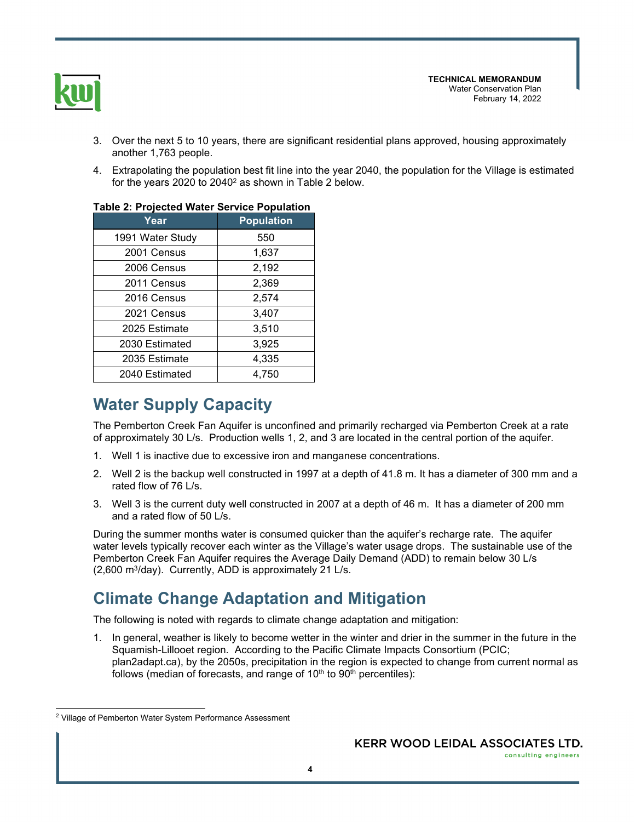

- 3. Over the next 5 to 10 years, there are significant residential plans approved, housing approximately another 1,763 people.
- 4. Extrapolating the population best fit line into the year 2040, the population for the Village is estimated for the years 2020 to 2040 $^{\rm 2}$  as shown in Table 2 below.

| rable 2. Projected water Service Population |                   |  |  |  |  |
|---------------------------------------------|-------------------|--|--|--|--|
| Year                                        | <b>Population</b> |  |  |  |  |
| 1991 Water Study                            | 550               |  |  |  |  |
| 2001 Census                                 | 1,637             |  |  |  |  |
| 2006 Census                                 | 2,192             |  |  |  |  |
| 2011 Census                                 | 2,369             |  |  |  |  |
| 2016 Census                                 | 2,574             |  |  |  |  |
| 2021 Census                                 | 3,407             |  |  |  |  |
| 2025 Estimate                               | 3,510             |  |  |  |  |
| 2030 Estimated                              | 3,925             |  |  |  |  |
| 2035 Estimate                               | 4,335             |  |  |  |  |
| 2040 Estimated                              | 4.750             |  |  |  |  |
|                                             |                   |  |  |  |  |

#### **Table 2: Projected Water Service Population**

# **Water Supply Capacity**

The Pemberton Creek Fan Aquifer is unconfined and primarily recharged via Pemberton Creek at a rate of approximately 30 L/s. Production wells 1, 2, and 3 are located in the central portion of the aquifer.

- 1. Well 1 is inactive due to excessive iron and manganese concentrations.
- 2. Well 2 is the backup well constructed in 1997 at a depth of 41.8 m. It has a diameter of 300 mm and a rated flow of 76 L/s.
- 3. Well 3 is the current duty well constructed in 2007 at a depth of 46 m. It has a diameter of 200 mm and a rated flow of 50 L/s.

During the summer months water is consumed quicker than the aquifer's recharge rate. The aquifer water levels typically recover each winter as the Village's water usage drops. The sustainable use of the Pemberton Creek Fan Aquifer requires the Average Daily Demand (ADD) to remain below 30 L/s (2,600 m<sup>3</sup> /day). Currently, ADD is approximately 21 L/s.

# **Climate Change Adaptation and Mitigation**

The following is noted with regards to climate change adaptation and mitigation:

1. In general, weather is likely to become wetter in the winter and drier in the summer in the future in the Squamish-Lillooet region. According to the Pacific Climate Impacts Consortium (PCIC; plan2adapt.ca), by the 2050s, precipitation in the region is expected to change from current normal as follows (median of forecasts, and range of  $10<sup>th</sup>$  to  $90<sup>th</sup>$  percentiles):

<sup>&</sup>lt;sup>2</sup> Village of Pemberton Water System Performance Assessment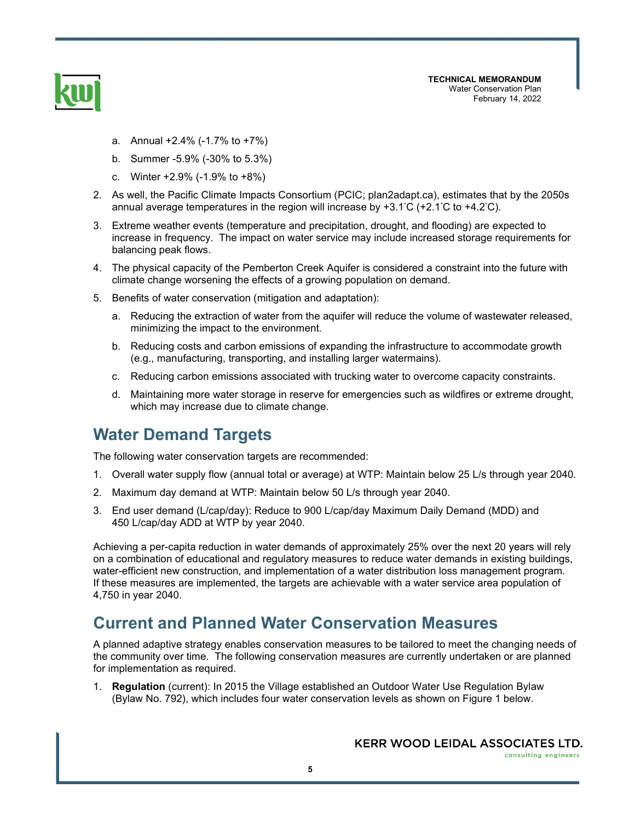

- a. Annual +2.4% (-1.7% to +7%)
- b. Summer -5.9% (-30% to 5.3%)
- c. Winter +2.9% (-1.9% to +8%)
- 2. As well, the Pacific Climate Impacts Consortium (PCIC; plan2adapt.ca), estimates that by the 2050s annual average temperatures in the region will increase by  $+3.1^{\circ}C$  ( $+2.1^{\circ}C$  to  $+4.2^{\circ}C$ ).
- 3. Extreme weather events (temperature and precipitation, drought, and flooding) are expected to increase in frequency. The impact on water service may include increased storage requirements for balancing peak flows.
- 4. The physical capacity of the Pemberton Creek Aquifer is considered a constraint into the future with climate change worsening the effects of a growing population on demand.
- 5. Benefits of water conservation (mitigation and adaptation):
	- a. Reducing the extraction of water from the aquifer will reduce the volume of wastewater released, minimizing the impact to the environment.
	- b. Reducing costs and carbon emissions of expanding the infrastructure to accommodate growth (e.g., manufacturing, transporting, and installing larger watermains).
	- c. Reducing carbon emissions associated with trucking water to overcome capacity constraints.
	- d. Maintaining more water storage in reserve for emergencies such as wildfires or extreme drought, which may increase due to climate change.

#### **Water Demand Targets**

The following water conservation targets are recommended:

- 1. Overall water supply flow (annual total or average) at WTP: Maintain below 25 L/s through year 2040.
- 2. Maximum day demand at WTP: Maintain below 50 L/s through year 2040.
- 3. End user demand (L/cap/day): Reduce to 900 L/cap/day Maximum Daily Demand (MDD) and 450 L/cap/day ADD at WTP by year 2040.

Achieving a per-capita reduction in water demands of approximately 25% over the next 20 years will rely on a combination of educational and regulatory measures to reduce water demands in existing buildings, water-efficient new construction, and implementation of a water distribution loss management program. If these measures are implemented, the targets are achievable with a water service area population of 4,750 in year 2040.

#### **Current and Planned Water Conservation Measures**

A planned adaptive strategy enables conservation measures to be tailored to meet the changing needs of the community over time. The following conservation measures are currently undertaken or are planned for implementation as required.

1. **Regulation** (current): In 2015 the Village established an Outdoor Water Use Regulation Bylaw (Bylaw No. 792), which includes four water conservation levels as shown on Figure 1 below.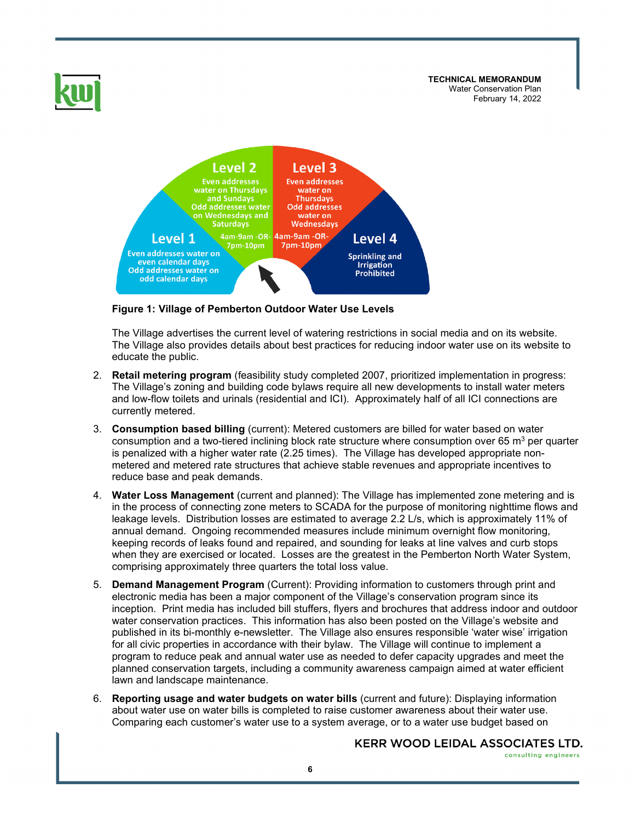

**Figure 1: Village of Pemberton Outdoor Water Use Levels** 

The Village advertises the current level of watering restrictions in social media and on its website. The Village also provides details about best practices for reducing indoor water use on its website to educate the public.

- 2. **Retail metering program** (feasibility study completed 2007, prioritized implementation in progress: The Village's zoning and building code bylaws require all new developments to install water meters and low-flow toilets and urinals (residential and ICI). Approximately half of all ICI connections are currently metered.
- 3. **Consumption based billing** (current): Metered customers are billed for water based on water consumption and a two-tiered inclining block rate structure where consumption over 65  $\mathrm{m}^{_3}$  per quarter is penalized with a higher water rate (2.25 times). The Village has developed appropriate nonmetered and metered rate structures that achieve stable revenues and appropriate incentives to reduce base and peak demands.
- 4. **Water Loss Management** (current and planned): The Village has implemented zone metering and is in the process of connecting zone meters to SCADA for the purpose of monitoring nighttime flows and leakage levels. Distribution losses are estimated to average 2.2 L/s, which is approximately 11% of annual demand. Ongoing recommended measures include minimum overnight flow monitoring, keeping records of leaks found and repaired, and sounding for leaks at line valves and curb stops when they are exercised or located. Losses are the greatest in the Pemberton North Water System, comprising approximately three quarters the total loss value.
- 5. **Demand Management Program** (Current): Providing information to customers through print and electronic media has been a major component of the Village's conservation program since its inception. Print media has included bill stuffers, flyers and brochures that address indoor and outdoor water conservation practices. This information has also been posted on the Village's website and published in its bi-monthly e-newsletter. The Village also ensures responsible 'water wise' irrigation for all civic properties in accordance with their bylaw. The Village will continue to implement a program to reduce peak and annual water use as needed to defer capacity upgrades and meet the planned conservation targets, including a community awareness campaign aimed at water efficient lawn and landscape maintenance.
- 6. **Reporting usage and water budgets on water bills** (current and future): Displaying information about water use on water bills is completed to raise customer awareness about their water use. Comparing each customer's water use to a system average, or to a water use budget based on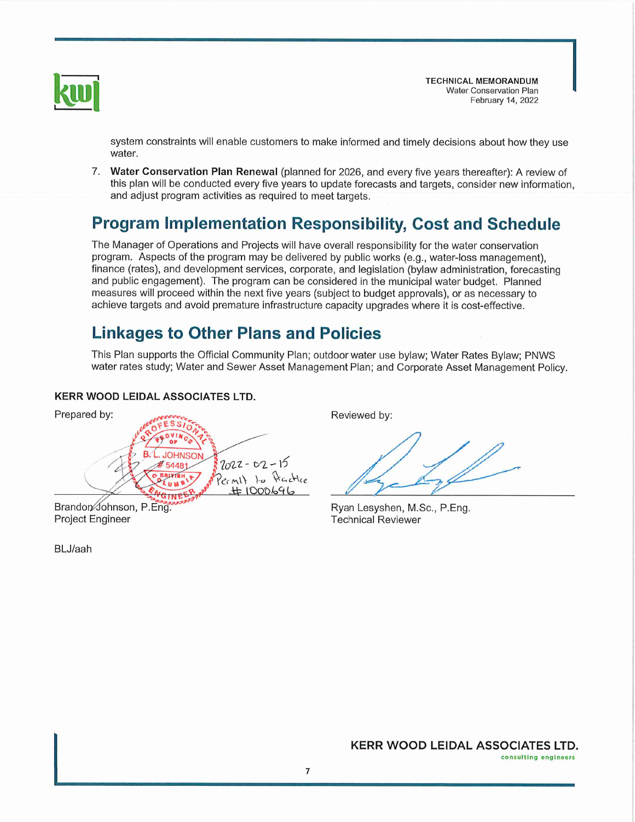

system constraints will enable customers to make informed and timely decisions about how they use water.

7. Water Conservation Plan Renewal (planned for 2026, and every five years thereafter): A review of this plan will be conducted every five years to update forecasts and targets, consider new information. and adjust program activities as required to meet targets.

# **Program Implementation Responsibility, Cost and Schedule**

The Manager of Operations and Projects will have overall responsibility for the water conservation program. Aspects of the program may be delivered by public works (e.g., water-loss management), finance (rates), and development services, corporate, and legislation (bylaw administration, forecasting and public engagement). The program can be considered in the municipal water budget. Planned measures will proceed within the next five vears (subject to budget approvals), or as necessary to achieve targets and avoid premature infrastructure capacity upgrades where it is cost-effective.

# **Linkages to Other Plans and Policies**

This Plan supports the Official Community Plan; outdoor water use bylaw; Water Rates Bylaw; PNWS water rates study; Water and Sewer Asset Management Plan; and Corporate Asset Management Policy.

#### **KERR WOOD LEIDAL ASSOCIATES LTD.**



**Project Engineer** 

BLJ/aah

Reviewed by:

Ryan Lesyshen, M.Sc., P.Eng. **Technical Reviewer**